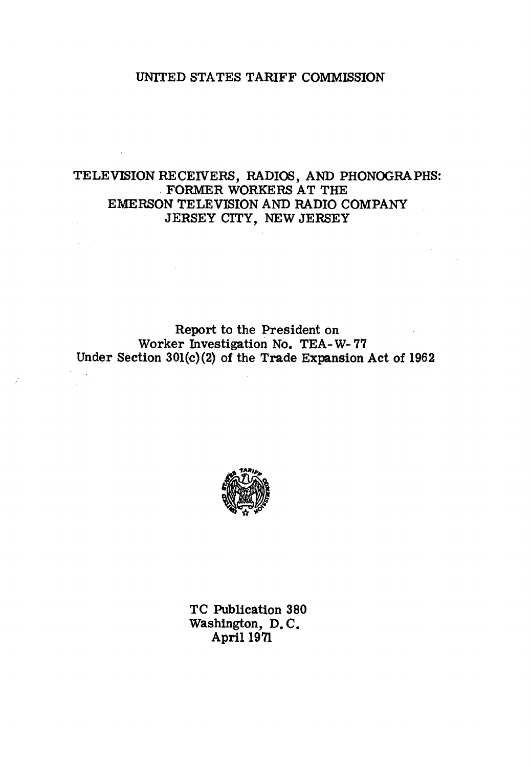# UNITED STATES TARIFF COMMISSION

# TELEVISION RECEIVERS, RADIOS, AND PHONOGRAPHS: . FORMER WORKERS AT THE EMERSON TELEVISION AND RADIO COMPANY JERSEY CITY, NEW JERSEY

Report to the President on Worker Investigation No. TEA-w- 77 Under Section 301(c)(2) of the Trade Expansion Act of 1962



TC Publication 380 Washington, D. C. April 1971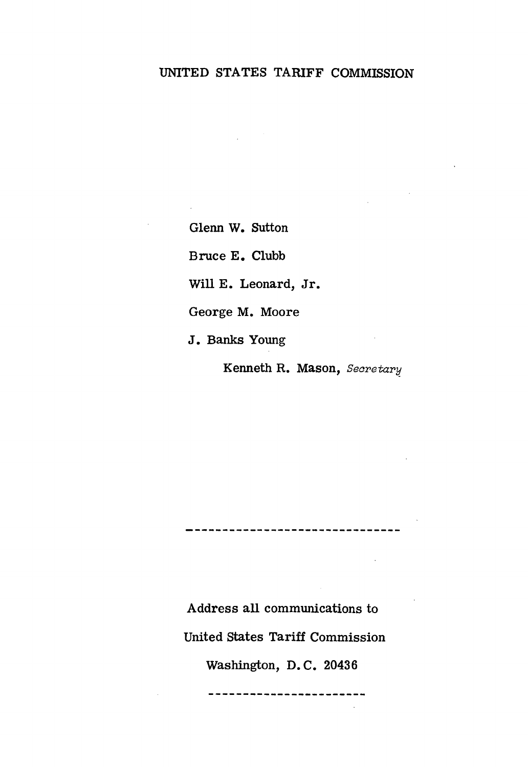# UNITED STATES TARIFF COMMISSION

Glenn W. Sutton

Bruce E. Clubb

Will E. Leonard, Jr.

George M. Moore

J. Banks Young

Kenneth R. Mason, *Secretary* 

Address all communications to United states Tariff Commission Washington, D. C. 20436

------------------------

-----------------------------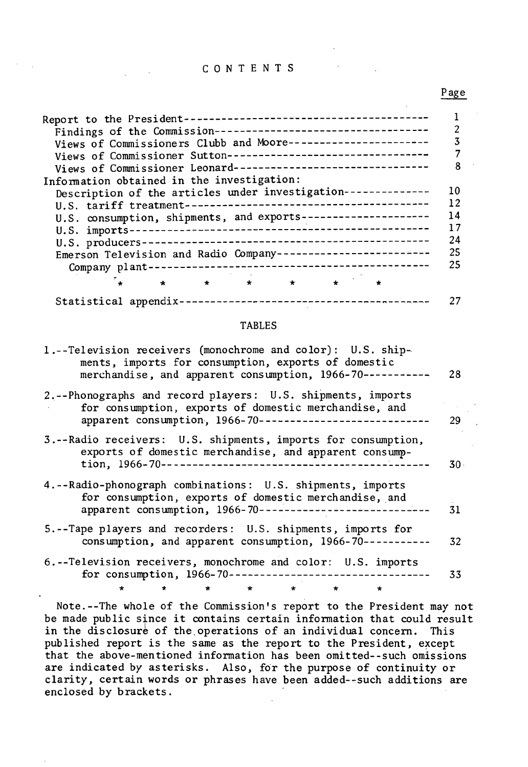# C 0 N T E N T S

#### Page

|                                                               | 2  |
|---------------------------------------------------------------|----|
| Views of Commissioners Clubb and Moore----------------------- | 3  |
| Views of Commissioner Sutton--------------------------------- |    |
| Views of Commissioner Leonard-------------------------------- | 8  |
| Information obtained in the investigation:                    |    |
| Description of the articles under investigation-------------- | 10 |
|                                                               | 12 |
| U.S. consumption, shipments, and exports--------------------- | 14 |
|                                                               | 17 |
|                                                               | 24 |
| Emerson Television and Radio Company------------------------  | 25 |
|                                                               | 25 |
| $\star$ $\star$ $\star$ $\star$                               |    |
|                                                               |    |

#### TABLES

| 1.--Television receivers (monochrome and color): U.S. ship-<br>ments, imports for consumption, exports of domestic<br>merchandise, and apparent consumption, 1966-70-----------   | 28              |
|-----------------------------------------------------------------------------------------------------------------------------------------------------------------------------------|-----------------|
| 2.--Phonographs and record players: U.S. shipments, imports<br>for consumption, exports of domestic merchandise, and<br>apparent consumption, 1966-70---------------------------- | 29              |
| 3.--Radio receivers: U.S. shipments, imports for consumption,<br>exports of domestic merchandise, and apparent consump-                                                           | 30 <sup>°</sup> |
| 4.--Radio-phonograph combinations: U.S. shipments, imports<br>for consumption, exports of domestic merchandise, and<br>apparent consumption, 1966-70----------------------------  | 31              |
| 5.--Tape players and recorders: U.S. shipments, imports for<br>consumption, and apparent consumption, 1966-70-----------                                                          | 32              |
| 6.--Television receivers, monochrome and color: U.S. imports<br>$\star$ $\star$ $\star$<br>$\star$<br>$\star$<br>$\star$<br>$\star$ $\star$                                       | 33              |

Note.--The whole of the Commission's report to the President may not be made public since it contains certain information that could result in the disclosure of the operations of an individual concern. This published report is the same as the report to the President, except that the above-mentioned information has been omitted--such omissions are indicated by asterisks. Also, for the purpose of continuity or clarity, certain words or phrases have been added--such additions are enclosed by brackets.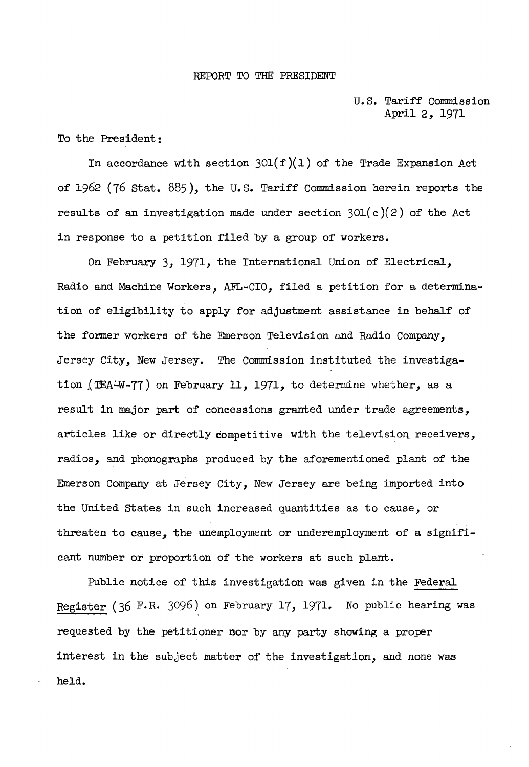#### REPORT TO THE PRESIDENT

U.S. Tariff Commission April 2, 1971

To the President:

In accordance with section  $301(f)(1)$  of the Trade Expansion Act of 1962 (76 Stat. 885), the U.S. Tariff Commission herein reports the results of an investigation made under section  $301(c)(2)$  of the Act in response to a petition filed by a group of workers.

On February 3, 1971, the International Union of Electrical, Radio and Machine Workers, AFL-CIO, filed a petition for a determination of eligibility to apply for adjustment assistance in behalf of the former workers of the Emerson Television and Radio Company, Jersey City, New Jersey. The Commission instituted the investigation (TEA-W-77) on February 11, 1971, to determine whether, as a result in major part of concessions granted under trade agreements, articles like or directly competitive with the television receivers, radios, and phonographs produced by the aforementioned plant of the Emerson Company at Jersey City, New Jersey are being imported into the United states in such increased quantities as to cause, or threaten to cause, the unemployment or underemployment of a significant number or proportion of the workers at such plant.

Public notice of this investigation was given in the Federal Register (36 F.R. 3096) on February 17, 1971. No public hearing was requested by the petitioner nor by any party showing a proper interest in the subject matter of the investigation, and none was held.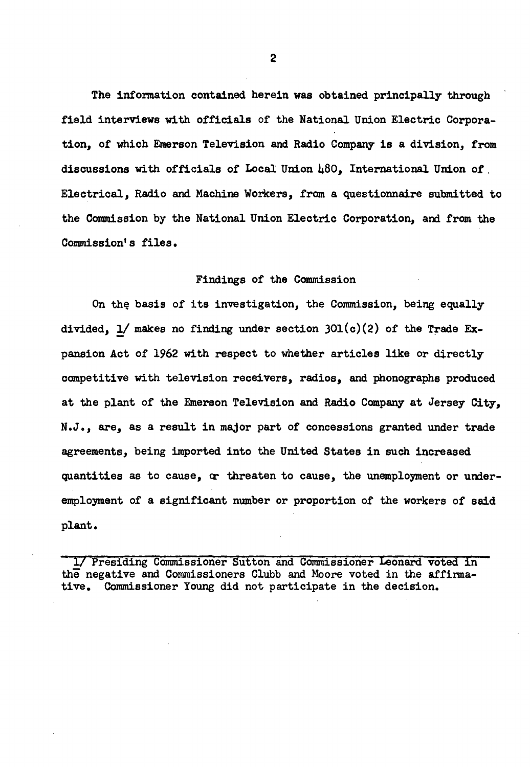The information contained herein was obtained principally through field interviews with officials of the National Union Electric Corporation, of which Emerson Television and Radio Company is a division, from discussions with officials of Local Union 480, International Union of. Electrical, Radio and Machine Workers, from a questionnaire submitted to the Commission by the National Union Electric Corporation, and from the Commission's files.

## Findings of the Commission

On the basis of its investigation, the Commission, being equally divided,  $1/$  makes no finding under section  $301(c)(2)$  of the Trade Expansion Act of 1962 with respect to whether articles like or directly competitive with television receivers, radios, and phonographs produced at the plant of the Emerson Television and Radio Company at Jersey City, *N.J.,* are, as a result in major part of concessions granted under trade agreements, being imported into the United States in such increased quantities as to cause, er threaten to cause, the unemployment or underemployment of a significant number or proportion of the workers of said plant.

17 Presiding Commissioner Sutton and Commissioner Leonard voted in the negative and Commissioners Clubb and Moore voted in the affirmative. Commissioner Young did not participate in the decision.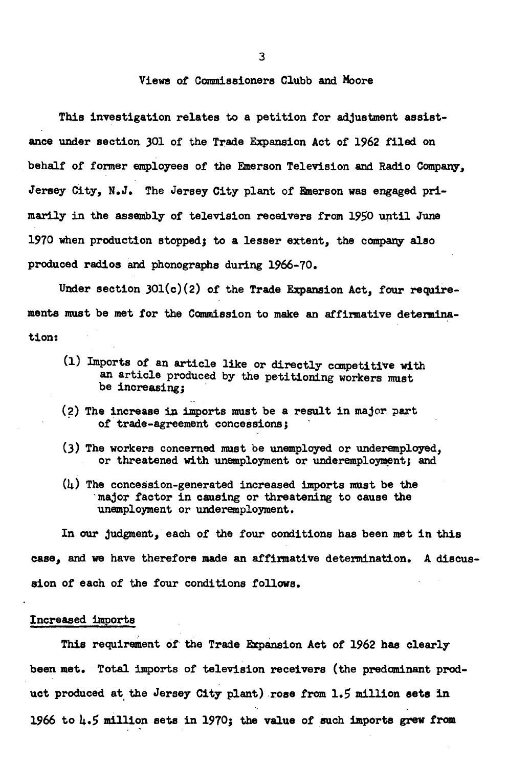#### Views of Commissioners Clubb and Moore

This investigation relates to a petition for adjustment assistance under section 301 of the Trade Expansion Act of 1962 filed on behalf of former employees of the Emerson Television and Radio Company. Jersey City, N.J. The Jersey City plant of Emerson was engaged primarily in the assembly of television receivers from 1950 until June 1970 when production stopped; to a lesser extent, the company also produced radios and phonographs during 1966-70.

Under section  $301(c)(2)$  of the Trade Expansion Act, four requirements must be met for the Commission to make an affirmative determination:

- (1) Imports of an article like.or directly canpetitive with an article produced by the petitioning workers must be increasing:
- (2) The increase in imports must be a result in major part of trade-agreement concessions;
- (3) The workers concerned must be unemployed or underemploy-ed, or threatened with unemployment or underemployment; and
- (4) The concession-generated increased imports must be the ·major factor in causing or threatening to cause the unemployment or underemployment.

In our judgment, each of the four conditions has been met in this case, and we have therefore made an affirmative detennination. A discussion of each of the four conditions follows.

#### Increased imports

This requirement of' the Trade Expansion Act of 1962 has clearly been met. Total imports of television receivers (the predominant product produced at the Jersey City plant) rose from 1.5 million sets in 1966 to  $\mu$ .5 million sets in 1970; the value of such imports grew from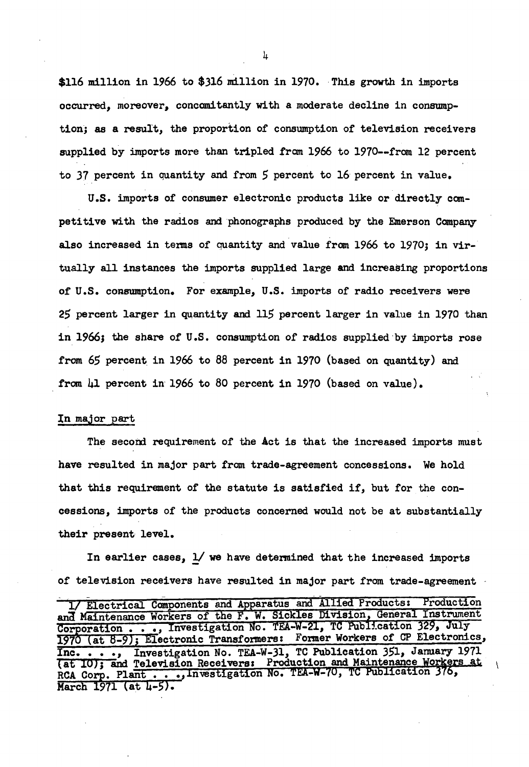\$116 million in 1966 to \$316 million in 1970. This growth in imports occurred, moreover, concomitantly with a moderate decline in consumption; as a result, the proportion of consumption of television receivers supplied by imports more than tripled from 1966 to 1970--from 12 percent to 37 percent in quantity and from *5* percent to 16 percent in value.

U.S. imports of consumer electronic products like or directly competitive with the radios and phonographs produced by the Emerson Campany also increased in tenns of quantity and value from 1966 to 1970; in virtually all instances the imports supplied large and increasing proportions of U.S. consumption. For example, U.S. imports of radio receivers were 25 percent larger in quantity and 115 percent larger in value in 1970 than in 1966; the share of U.S. consumption of radios supplied·by imports rose from *65* percent in 1966 to 88 percent in 1970 (based on quantity) and from 41 percent in 1966 to 80 percent in 1970 (based on value).

## In major part

The second requirement of the Act is that the increased imports must have resulted in major part from trade-agreement concessions. We hold that this requirement of the statute is satisfied if, but for the concessions, imports of the products concerned would not be at substantially their present level.

In earlier cases, *Y* we have detennined that the increased imports of television receivers have resulted in major part from trade-agreement

<sup>1/</sup> Electrical Components and Apparatus and Allied Products: Production and Maintenance Workers of the F. W. Sickles Division, General Instrument and Maintenance workers of the F. w. Sickles Bryslon, General Histomerical<br>Corporation . . ., Investigation No. TEA-W-21, TC Publication 329, July<br>1970 (at 8-9); Electronic Transformers: Former Workers of CP Electronics, Inc. . . ., Investigation No. TEA-W-31, TC Publication 351, January 1971 (at 10); and Television Receivers: Production and Maintenance Workers at RCA Corp. Plant . . . , Investigation No. TEA-W-70, TC Publication 376, March 1971 (at 4-5).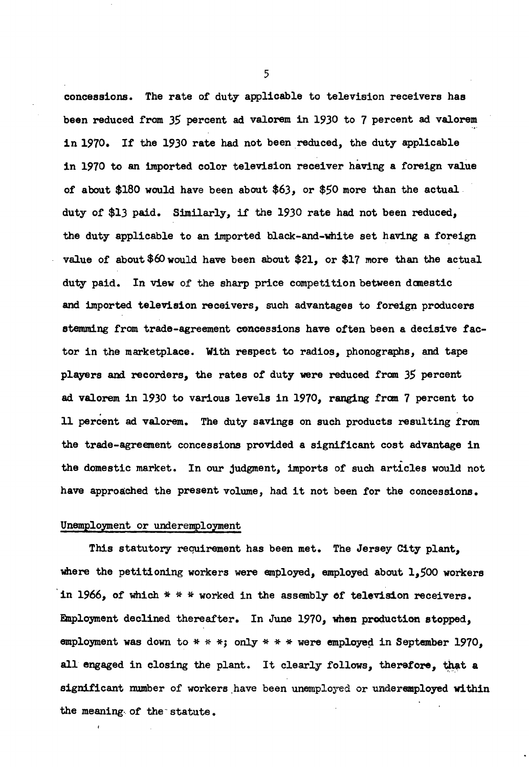concessions. The rate of duty applicable to television receivers has been reduced from *35* percent ad valorem in 1930 to 7 percent ad valorem in 1970. If the 1930 rate had not been reduced, the duty applicable in 1970 to an imported color television receiver having a foreign value of about \$180 would have been about *\$63,* or \$50 more than the actual duty of \$13 paid. Similarly, if the 1930 rate had not been reduced, the duty applicable to an imported black-and-white set having a foreign value of about  $$60$  would have been about  $$21$ , or  $$17$  more than the actual duty paid. In view of the sharp price competition between danestic and imported television receivers, such advantages to foreign producers stemming from trade-agreement eoncessions have often been a decisive factor in the marketplace. With respect to radios, phonographs, and tape players and recorders, the rates of duty were reduced from *35* percent ad valorem in 1930 to various levels in 1970, ranging from 7 percent to 11 percent ad valorem. The duty savings on such products resulting from the trade-agreement concessions provided a significant cost advantage in the domestic market. In our judgment, imports of such articles would not have approached the present volume, had it not been for the concessions.

# Unemployment or underemployment

This statutory requirement has been met. The Jersey City plant, where the petitioning workers were employed, employed about  $1,500$  workers in 1966, of which  $* * *$  worked in the assembly of television receivers. Employment declined thereafter. In June 1970, when production stopped, employment was down to  $* * *$ ; only  $* * *$  were employed in September 1970. all engaged in closing the plant. It clearly follows, therefore, that a significant number of workers have been unemployed or underemployed within the meaning of the statute.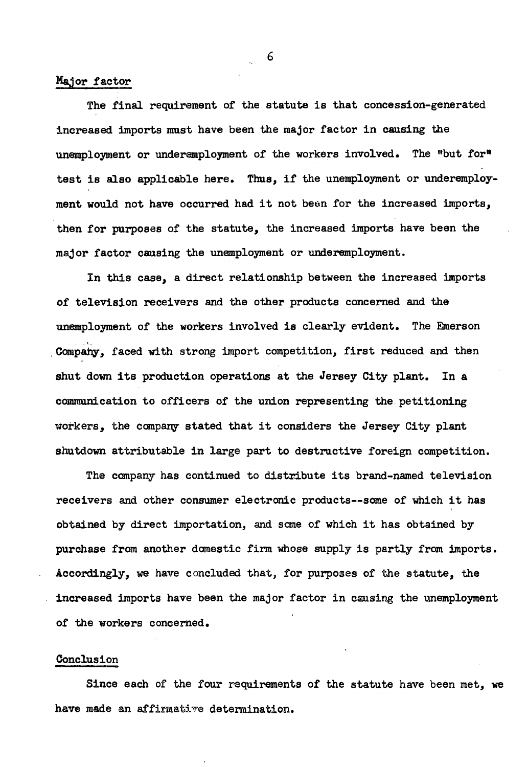#### Major factor

The final requirement of the statute is that concession-generated increased imports must have been the major factor in causing the unemployment or underemployment of the workers involved. The "but for" test is also applicable here. Thus, if the unemployment or underemployment would not have occurred had it not been for the increased imports, then for purposes of the statute, the increased imports have been the major factor causing the unemployment or underemployment.

In this case, a direct relationship between the increased imports of television receivers and the other products concerned and the unemployment of the workers involved is clearly evident. The Emerson Company, faced with strong import competition, first reduced and then shut down its production operations at the Jersey City plant. In a communication to officers of the union representing the.petitioning workers, the canpany stated that it considers the Jersey City plant shutdown attributable in large part to destructive foreign competition.

The company has continued to distribute its brand-named television receivers and other consumer electronic products--some of which it has obtained by direct importation, and same of which it has obtained by purchase from another domestic firm whose supply is partly from imports. Accordingly, we have concluded that, for purposes of the statute, the increased imports have been the major factor in causing the unemployment of the workers concerned.

# Conclusion

Since each of the four requirements of the statute have been met, we have made an affirmative determination.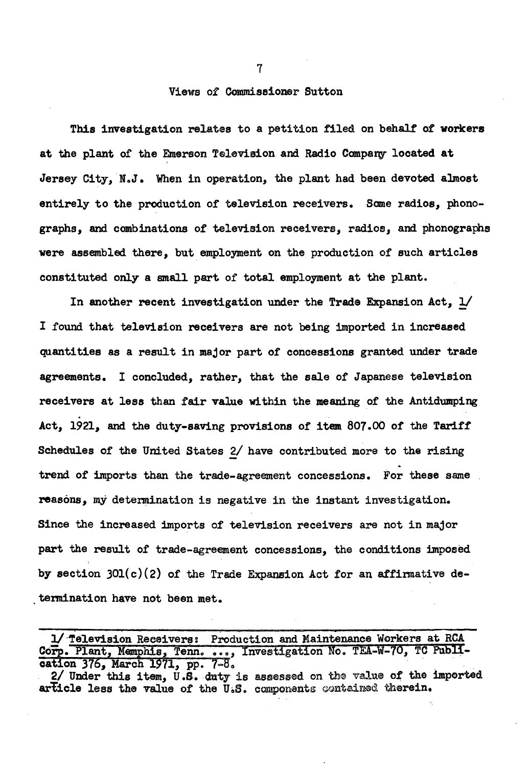# Views of Commissioner Sutton

This investigation relates to a petition filed on behalf *ot* workers at the plant of the Emerson Television and Radio Compaqy located at Jersey City, N.J. When in operation, the plant had been devoted almost entirely to the production of television receivers. Some radios, phonographs, and combinations of television receivers, radios, and phonographs were assembled there, but employment on the production of such articles constituted only a small part of total employment at the plant.

In another recent investigation under the Trade Expansion Act, l/ I found that television receivers are not being imported in increased quantities as a result in major part of concessions granted under trade agreements. I concluded, rather, that the sale of Japanese television receivers at less than fair value within the meaning of the Antidumping Act, 1921, and the duty-saving provisions of item  $807.00$  of the Tariff Schedules of the United States  $2/$  have contributed more to the rising trend of imports than the trade-agreement concessions. For these same reasons, *mi* determination is negative in the instant investigation. Since the increased imports of television receivers are not in major part the result of trade-agreement concessions, the conditions imposed by section  $301(c)(2)$  of the Trade Expansion Act for an affirmative determination have not been met.

l/ Television Receivers s Production and Maintenance Workers at RCA Coff. Plant, Memphis+ Tenne • *.. ,* Investigation No. TEA-W-76, TC Publlcation 376, March 1971, pp. 7-8.

<sup>2/</sup> Under this item, U.S. duty is assessed on the value of the imported article less the value of the U.S. components contained therein.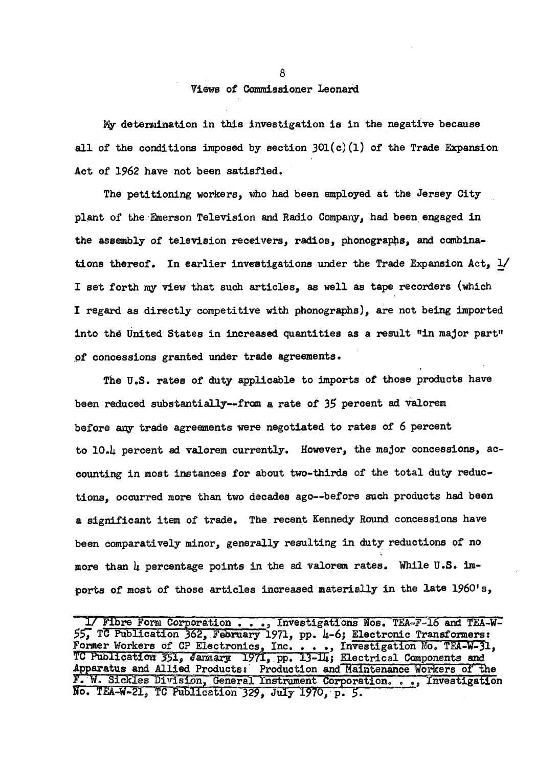# Views of Commissioner Leonard

My determination in this investigation is in the negative because all of the conditions imposed by section  $301(c)(1)$  of the Trade Expansion Act of 1962 have not been satisfied.

The petitioning workers, who had been employed at the Jersey City plant of the Emerson Television and Radio Company, had been engaged in the assembly of television receivers, radios, phonographs, and combinations thereof. In earlier investigations under the Trade Expansion Act,  $1/$ I set forth my view that such articles, as well as tape recorders (which I regard as directly competitive with phonographs), are not being imported into the United States in increased quantities as a result "in major part" of concessions granted under trade agreements.

The U.S. rates of duty applicable to imports *ot* those products have been reduced substantially--from a rate of *35* percent ad valorem before any trade agreements were negotiated to rates of 6 percent to 10.4 percent ad valorem currently. However, the major concessions, accounting in most instances for about two-thirds of the total duty reductions, occurred more than two decades ago--before such products had been a significant item of trade. The recent Kennedy Round concessions have been comparatively minor, generally resulting in duty reductions of no more than  $\mu$  percentage points in the ad valorem rates. While U.S. imports of most of those articles increased materially in the late 1960's,

*<sup>1/</sup> Fibre Form Corporation . . ., Investigations Nos. TEA-F-16 and TEA-W-*55, TC Publication 362, February 1971, pp. 4-6; Electronic Transformers: Former Workers of CP Electronics, Inc. . . . , Investigation No. TEA-W-31, TC Publication 351, January 1971, pp. 13-lli; Electrical Components and Apparatus and Allied Products: Production and Maintenance Workers of the F. W. Sickles Division, General Instrument Corporation. . . . Investigation No. TEA-W-21, TC Publication 329, July 1970, p. 5.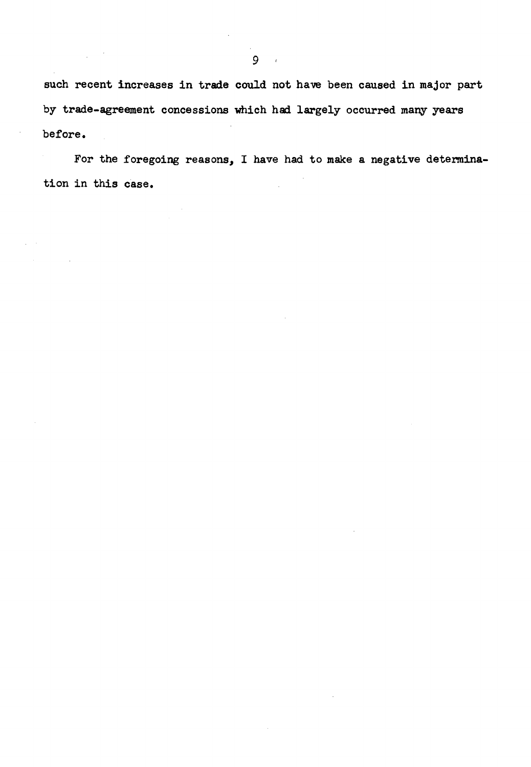such recent increases in trade could not have been caused in major part by trade-agreement concessions which had largely occurred many years before.

For the foregoing reasons, I have had to make a negative determination in this case.

 $\bar{L}$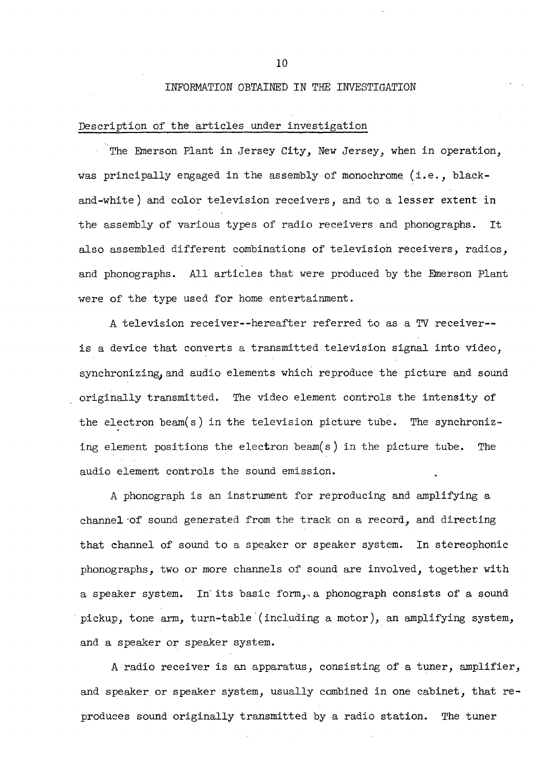#### INFORMATION OBTAINED IN THE INVESTIGATION

## Description of the articles under investigation

The Emerson Plant in Jersey City, New Jersey, when in operation, was principally engaged in the assembly of monochrome (i.e., blackand-white) and color television receivers, and to a lesser extent in the assembly of various types of radio receivers and phonographs. It also assembled different combinations of television receivers, radios, and phonographs. All articles that were produced by the Emerson Plant were of the type used for home entertainment.

A television receiver--hereafter referred to as a TV receiver-is a device that converts a transmitted television signal into video, synchronizing, and audio elements which reproduce the picture and sound originally transmitted. The video element controls the intensity of the electron beam(s) in the television picture tube. The synchronizing element positions the electron beam(s) in the picture tube. The audio element controls the sound emission.

A phonograph is an instrument for reproducing and amplifying a channel of sound generated from the track on a record, and directing that channel of sound to a speaker or speaker system. In stereophonic phonographs, two or more channels of sound are involved, together with a speaker system. In its basic form, a phonograph consists of a sound pickup, tone arm, turn-table (including a motor), an amplifying system, and a speaker or speaker system.

A radio receiver is an apparatus, consisting of a tuner, amplifier, and speaker or speaker system, usually combined in one cabinet, that reproduces sound originally transmitted by a radio station. The tuner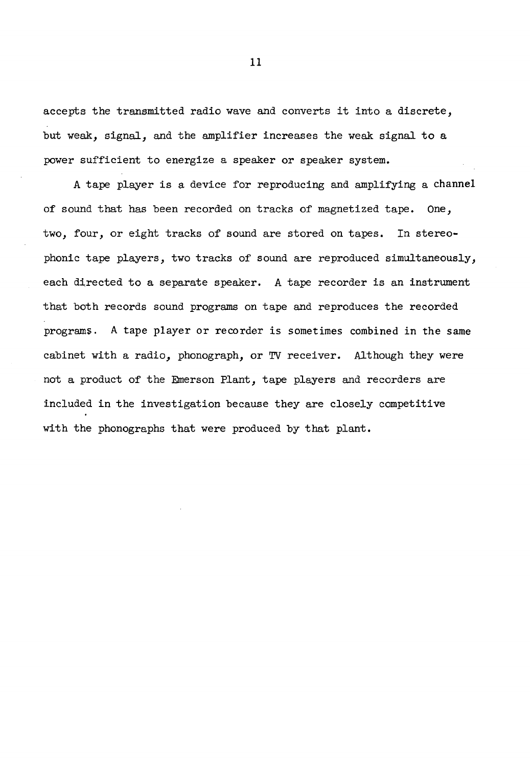accepts the transmitted radio wave and converts it into a discrete, but weak, signal, and the amplifier increases the weak signal to a power sufficient to energize a speaker or speaker system.

A tape player is a device for reproducing and amplifying a channel of sound that has been recorded on tracks of magnetized tape. One, two, four, or eight tracks of sound are stored on tapes. In stereophonic tape players, two tracks of sound are reproduced simultaneously, each directed to a separate speaker. A tape recorder is an instrument that both records sound programs on tape and reproduces the recorded programs. A tape player or recorder is sometimes combined in the same cabinet with a radio, phonograph, or *TV* receiver. Although they were not a product of the Emerson Plant, tape players and recorders are included in the investigation because they are closely competitive with the phonographs that were produced by that plant.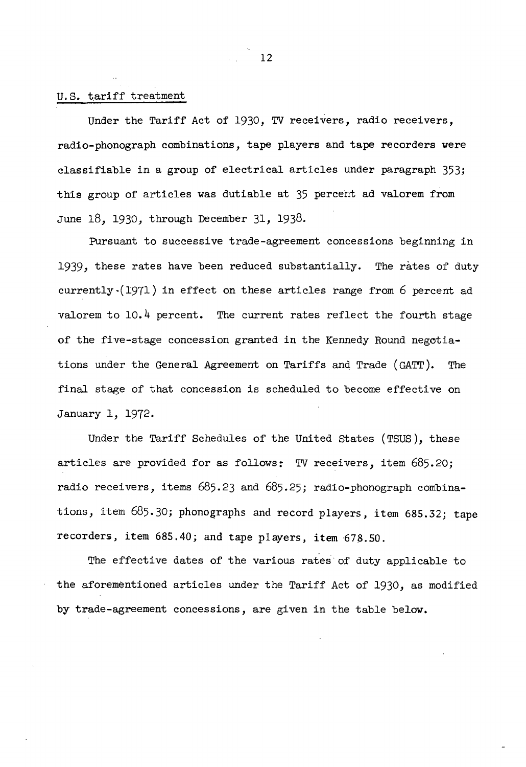#### U.S. tariff treatment

Under the Tariff Act of 1930, TV receivers, radio receivers, radio-phonograph combinations, tape players and tape recorders were classifiable in a group of electrical articles under paragraph 353; this group of articles was dutiable at 35 percent ad valorem from June 18, 1930, through December 31, 1938.

Pursuant to successive trade-agreement concessions beginning in 1939, these rates have been reduced substantially. The rates of duty currently·(l971) in effect on these articles range from *6* percent ad valorem to  $10.4$  percent. The current rates reflect the fourth stage of the five-stage concession granted in the Kennedy Round negotiations under the General Agreement on Tariffs and Trade (GATT). The final stage of that concession is scheduled to become effective on January 1, 1972.

Under the Tariff Schedules of the United states (TSUS), these articles are provided for as follows: TV receivers, item 685.20; radio receivers, items 685.23 and 685.25; radio-phonograph combinations, item 685.30; phonographs and record players, item 685.32; tape recorders, item  $685.40$ ; and tape players, item  $678.50$ .

The effective dates of the various rates of duty applicable to the aforementioned articles under the Tariff Act of 1930, as modified by trade-agreement concessions, are given in the table below.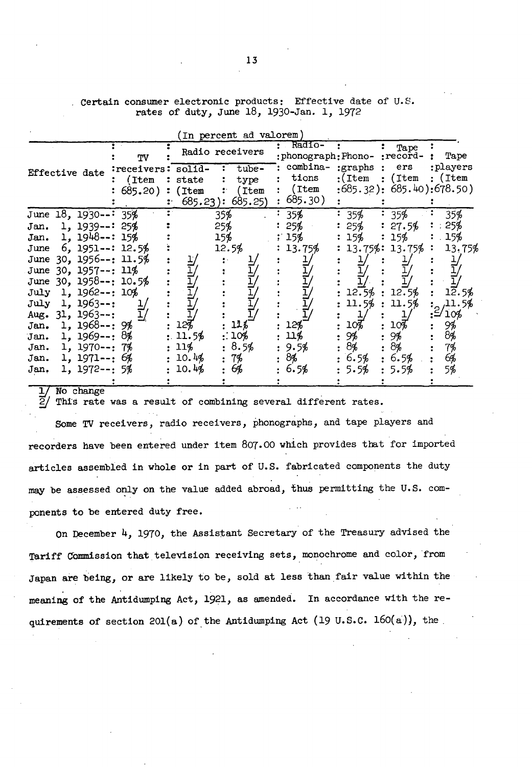|                             |                    |         | In percent ad valorem)  |                                         |       |                  |                            |
|-----------------------------|--------------------|---------|-------------------------|-----------------------------------------|-------|------------------|----------------------------|
|                             | TV                 |         | Radio receivers         | Radio-<br>: phonograph: Phono-: record- |       | Tape             | Tape                       |
| Effective date              | :receivers: solid- |         | tube-                   | combina- :graphs :                      |       | ers              | : players                  |
|                             | (Item              | state   | type                    | tions                                   |       |                  | $:$ (Item : (Item : (Item) |
|                             | 685.20)            | (Item   | (Item<br>$\ddot{\cdot}$ | (Item                                   |       |                  | :685.32):685.40):(678.50)  |
|                             |                    |         | $685.23$ : $685.25$ )   | 685.30)                                 |       |                  |                            |
| June 18, 1930--: 35%        |                    |         | 35%                     | 35%                                     | 35%   | : 35%            | 35%                        |
| 1, 1939--: 25%<br>Jan.      |                    |         | 25%                     | 25%                                     | 25%   | : 27.5%          | : 25%                      |
| $1, 1948 - 15%$<br>Jan.     |                    |         | 15%                     | : 15%                                   | 15%   | : 15%            | 15%                        |
| $6, 1951--: 12.5%$<br>June  |                    |         | 12.5%                   | 13.75%                                  |       | 13.75%: 13.75% : | 13.75%                     |
| 30, 1956--: 11.5%<br>June   |                    |         |                         |                                         |       |                  |                            |
| 30, 1957--: 11%<br>June     |                    |         |                         |                                         |       |                  |                            |
| $30, 1958--: 10.5%$<br>June |                    |         |                         |                                         |       |                  |                            |
| July 1, 1962--: 10%         |                    | ユニュニュニュ |                         |                                         | 12.5% | 12.5%            | 12.5%                      |
| $1, 1963$ --:<br>July       |                    |         |                         |                                         | 11.5% | : 11.5%          | :2/11.5%                   |
| $31, 1963--$<br>Aug.        |                    |         |                         |                                         |       |                  | 10%                        |
| $1, 1968--: 9%$<br>Jan.     |                    | 127     | 11\$                    | 12%                                     | 10T   | 10%              | 9%                         |
| $1, 1969--:$<br>Jan.        | 8%                 | 11.5%   | : 10%                   | 11%                                     | 9%    | 9%               | 8%                         |
| $1, 1970--:$<br>Jan.        | -7%                | 11%     | : 8.5%                  | 9.5%                                    | 8%    | 8%               | 7%                         |
| $1, 1971--: 6%$<br>Jan.     |                    | 10.4%   | 7%                      | 8%                                      | 6.5%  | 6.5%             | 6%                         |
| $1, 1972--: 5%$<br>Jan.     |                    | 10.4%   | 6%                      | 6.5%                                    | 5.5%  | 5.5%             | 5%                         |
|                             |                    |         |                         |                                         |       |                  |                            |
| $1/$ No change              |                    |         |                         |                                         |       |                  |                            |

certain consumer electronic products: Effective date of U.S. rates of duty, June 18, 1930-Jan. 1, 1972

Wo change<br>This rate was a result of combining several different rates.

Some TV receivers, radio receivers, phonographs, and tape players and recorders have been entered under item 807.00 which provides that for imported articles assembled in whole or in part of U.S. fabricated components the duty may be assessed only on the value added abroad, thus permitting the U.S. components to be entered duty free.

On Pecember 4, 1970, the Assistant Secretary of the Treasury advised the Tariff Commission that television receiving sets, monochrome and color, from Japan are being, or are likely to be, sold at less than fair value within the meaning of the Antidumping Act, 1921, as amended. In accordance with the requirements of section 201(a) of the Antidumping Act (19 U.S.C. 160(a)), the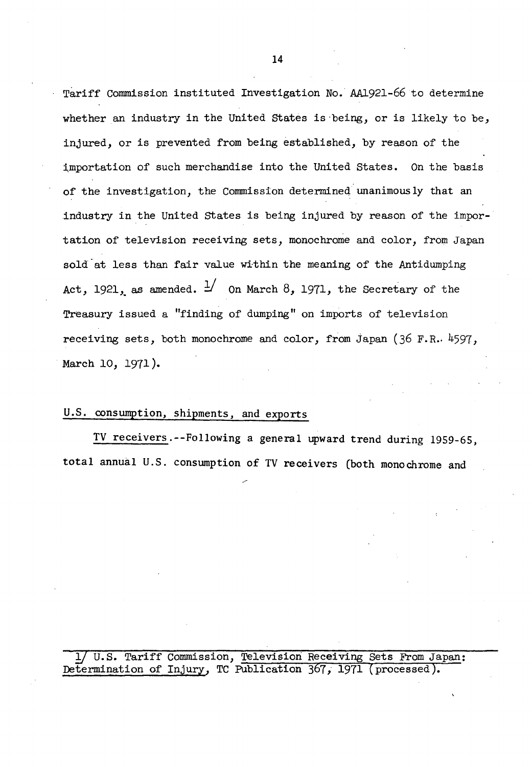Tariff Commission instituted Investigation No. AA1921-66 to determine whether an industry in the United States is being, or is likely to be, injured, or is prevented from being established, by reason of the importation of such merchandise into the United States. On the basis of the investigation, the Commission determined unanimously that an .industry in the United States is being injured by reason of the impertation of television receiving sets, monochrome and color, from Japan sold at less than fair value within the meaning of the Antidumping Act, 1921, as amended.  $\frac{1}{2}$  On March 8, 1971, the Secretary of the Treasury issued a "finding of dumping" on imports of television receiving sets, both monochrome and color, from Japan (36 F.R.  $4597$ , March 10, 1971).

# U.S. consumption, shipments, and exports

TV receivers.--Following a general upward trend during 1959-65, total annual U.S. consumption of TV receivers (both monochrome and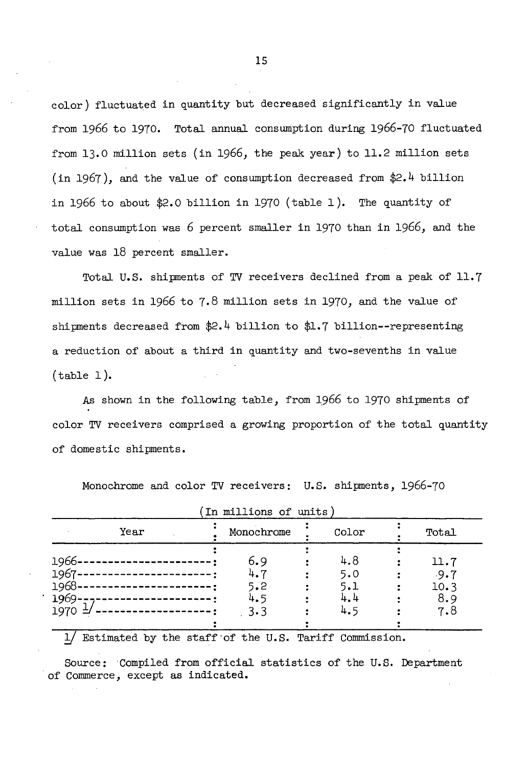color) fluctuated in quantity but decreased significantly in value from 1966 to 1970. Total annual consumption during 1966-70 fluctuated from 13.0 million sets (in 1966, the peak year) to 11.2 million sets (in 1967), and the value of consumption decreased from \$2.4 billion in 1966 to about \$2.0 billion in 1970 (table 1). The quantity of total consumption was 6 percent smaller in 1970 than in 1966, and the value was 18 percent smaller.

Total U.S. shipments of TV receivers declined from a peak of 11.7 million sets in 1966 to 7.8 million sets in 1970, and the value of shipments decreased from \$2.4 billion to \$1.7 billion--representing a reduction of about a third in quantity and two-sevenths in value  $(table 1).$ 

As shown in the following table, from 1966 to 1970 shipments of color TV receivers comprised a growing proportion of the total quantity of domestic shipments.

Monochrome and color TV receivers: U.S. shipments, 1966-70

| In millions of units                               |                                 |                                 |                                    |  |  |  |  |  |  |  |
|----------------------------------------------------|---------------------------------|---------------------------------|------------------------------------|--|--|--|--|--|--|--|
| Year                                               | Monochrome                      | Color                           | Total                              |  |  |  |  |  |  |  |
| 1966--<br>1967--<br>1968---<br>1969-<br>$1970 \pm$ | 6.9<br>4.7<br>5.2<br>4.5<br>3.3 | 4.8<br>5.0<br>5.1<br>4.4<br>4.5 | 11.7<br>.9.7<br>10.3<br>8.9<br>7.8 |  |  |  |  |  |  |  |

Estimated by the staff of the U.S. Tariff Commission.

Source: Compiled from official statistics of the U.S. Department of Commerce, except as indicated.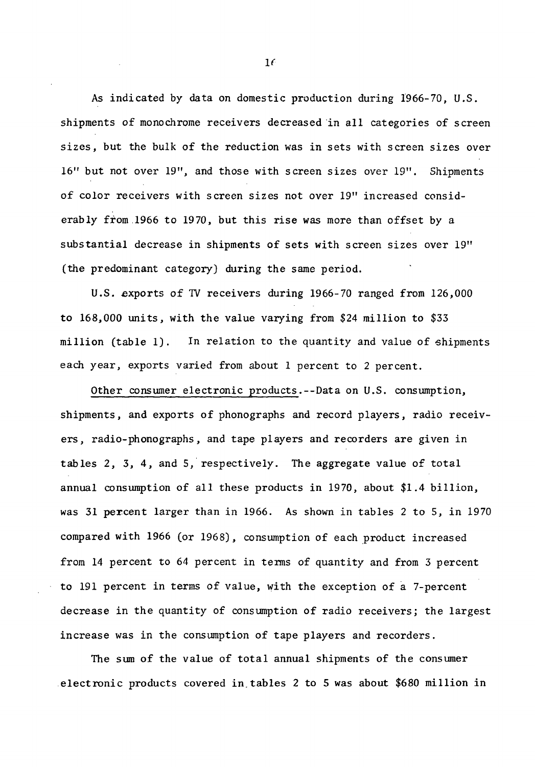As indicated by data on domestic production during 1966-70, U.S. shipments of monochrome receivers decreased in all categories of screen sizes, but the bulk of the reduction was in sets with screen sizes over 16" but not over 19", and those with screen sizes over 19". Shipments of color receivers with screen sizes not over 19" increased considerably from.1966 to 1970, but this rise was more than offset by a substantial decrease in shipments of sets with screen sizes over 19" (the predominant category) during the same period.

U.S. exports of TV receivers during 1966-70 ranged from 126,000 to 168,000 units, with the value varying from \$24 million to \$33 million (table 1). In relation to the quantity and value of shipments each year, exports varied from about 1 percent to 2 percent.

Other consumer electronic products.--Data on U.S. consumption, shipments, and exports of phonographs and record players, radio receivers, radio-phonographs, and tape players and recorders are given in tables *2, 3, 4,* and 5, respectively. The aggregate value of total annual conswnption of all these products in 1970, about \$1.4 billion, was 31 percent larger than in 1966. As shown in tables 2 to 5, in 1970 compared with 1966 (or 1968), consumption of each product increased from 14 percent to 64 percent in terms of quantity and from 3 percent to 191 percent in terms of value, with the exception of a 7-percent decrease in the quantity of consumption of radio receivers; the largest increase was in the consumption of tape players and recorders.

The sum of the value of total annual shipments of the consumer electronic products covered in\_ tables 2 to 5 was about \$680 million in

*l(*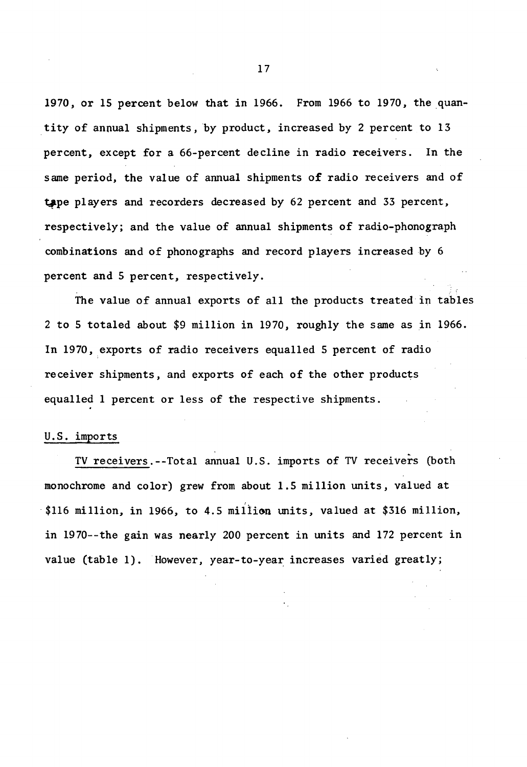1970, or 15 percent below that in 1966. From 1966 to 1970, the quantity of annual shipments, by product, increased by 2 percent to 13 percent, except for a 66-percent decline in radio receivers. In the same period, the value of annual shipments of radio receivers and of tape players and recorders decreased by 62 percent and 33 percent, respectively; and the value of annual shipments of radio-phonograph combinations and of phonographs and record players increased by 6 percent and 5 percent, respectively.

The value of annual exports of all the products treated in tables 2 to 5 totaled about \$9 million in 1970, roughly the same as in 1966. In 1970, exports of radio receivers equalled 5 percent of radio receiver shipments, and exports of each of the other products equalled 1 percent or less of the respective shipments.

### U.S. imports

TV receivers.--Total annual U.S. imports of TV receivers (both monochrome and color) grew from about 1.5 million units, valued at  $$116$  million, in 1966, to 4.5 million units, valued at \$316 million, in 1970--the gain was nearly 200 percent in units and 172 percent in value (table 1). However, year-to-year increases varied greatly;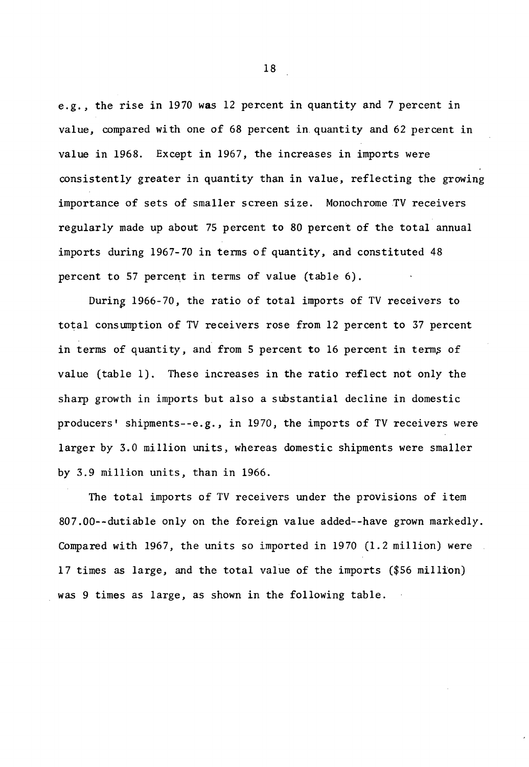e.g., the rise in 1970 was 12 percent in quantity and 7 percent in value, compared with one of 68 percent in. quantity and 62 percent in value in 1968. Except in 1967, the increases in imports were consistently greater in quantity than in value, reflecting the growing importance of sets of smaller screen size. Monochrome TV receivers regularly made up about 75 percent to 80 percent of the total annual imports during 1967-70 in terms of quantity, and constituted 48 percent to 57 percent in terms of value (table  $6$ ).

During 1966-70, the ratio of total imports of TV receivers to total consumption of TV receivers rose from 12 percent to 37 percent in terms of quantity, and from 5 percent to 16 percent in terms of value (table 1). These increases in the ratio reflect not only the sharp growth in imports but also a substantial decline in domestic producers' shipments--e.g., in 1970, the imports of TV receivers were larger by 3.0 million units, whereas domestic shipments were smaller by 3.9 million units, than in 1966.

The total imports of TV receivers under the provisions of item 807.00--dutiable only on the foreign value added--have grown markedly. Compared with 1967, the units so imported in 1970 (1.2 million) were 1 7 times as large, and the total value of the imports (\$56 million) was 9 times as large, as shown in the following table.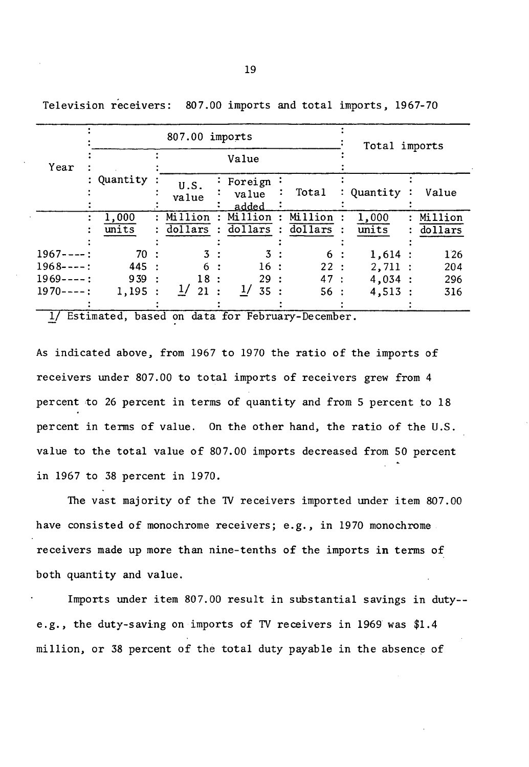|             |                           | 807.00 imports               |            |                                          | Total imports                 |  |            |  |           |
|-------------|---------------------------|------------------------------|------------|------------------------------------------|-------------------------------|--|------------|--|-----------|
| Year        |                           |                              |            | Value                                    |                               |  |            |  |           |
|             | : Quantity                | U.S.<br>value                |            | Foreign<br>value<br>added                | Total                         |  | : Quantity |  | Value     |
|             | 1,000                     | Million                      | $\ddot{ }$ |                                          | Million : Million :           |  | 1,000      |  | : Million |
|             | $\overline{\text{units}}$ |                              |            |                                          | dollars : dollars : dollars : |  | units      |  | dollars   |
|             |                           |                              |            |                                          |                               |  |            |  |           |
| $1967---$ : | 70:                       | 3:                           |            | 3:                                       | 6 :                           |  | 1,614:     |  | 126       |
| $1968---$ : | 445 :                     | 6:                           |            | 16:                                      | 22:                           |  | 2,711:     |  | 204       |
| $1969---$ : | 939:                      | 18:                          |            | 29:                                      | 47:                           |  | 4,034:     |  | 296       |
| $1970---$ : | 1,195:                    | 1/<br>21:                    |            | 1/<br>35:                                | 56:                           |  | 4,513:     |  | 316       |
|             | $\mathbf{1}$              | $\mathbf{r}$<br>$\mathbf{I}$ |            | $\overline{\phantom{1}}$<br>$\mathbf{H}$ | $\sim$                        |  |            |  |           |

Television receivers: 807.00 imports and total imports, 1967-70

*!f* Estimated, based on data for February-December.

As indicated above, from 1967 to 1970 the ratio of the imports of receivers under 807.00 to total imports of receivers grew from 4 percent to 26 percent in terms of quantity and from 5 percent to 18 percent in terms of value. On the other hand, the ratio of the U.S. value to the total value of 807.00 imports decreased from 50 percent in 1967 to 38 percent in 1970.

The vast majority of the TV receivers imported under item 807.00 have consisted of monochrome receivers; e.g., in 1970 monochrome. receivers made up more than nine-tenths of the imports in terms of both quantity and value.

Imports under item 807.00 result in substantial savings in duty- e.g., the duty-saving on imports of TV receivers in 1969 was \$1.4 million, or 38 percent of the total duty payable in the absence of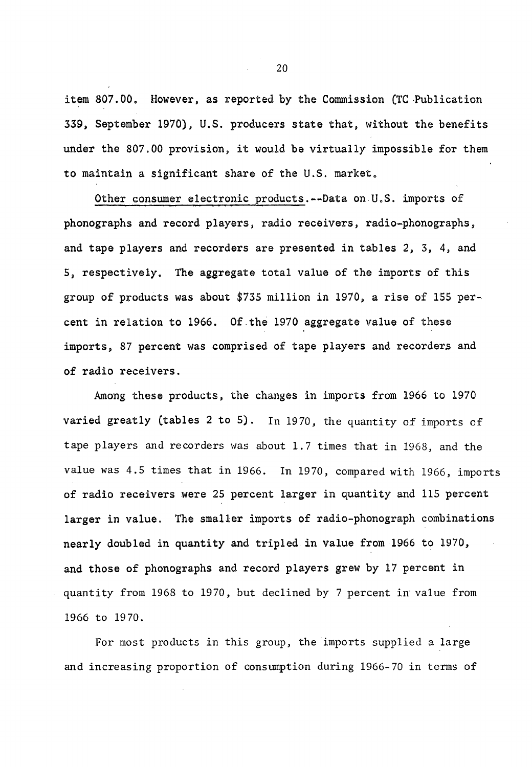item 807.00. However, as reported by the Commission (TC .Publication 339, September 1970), U.S. producers state that, without the benefits under the 807.00 provision, it would be virtually impossible for them to maintain a significant share of the U.S. market.

Other consumer electronic products.--Data on U.S. imports of phonographs and record players, radio receivers, radio-phonographs, and tape players and recorders are presented in tables *2, 3,* 4, and 5, respectively. The aggregate total value of the imports of this group of products was about \$735 million in 1970, a rise of 155 percent in relation to 1966. Of the 1970 aggregate value of these imports, 87 percent was comprised of tape players and recorders and of radio receivers.

Among these products, the changes in imports from 1966 to 1970 varied greatly (tables 2 to 5). In 1970, the quantity of imports of tape players and recorders was about 1.7 times that in 1968, and the value was 4.5 times that in 1966. In 1970, compared with 1966, imports of radio receivers were 25 percent larger in quantity and 115 percent larger in value. The smaller imports of radio-phonograph combinations nearly doubled in quantity and tripled in value from 1966 to 1970, and those of phonographs and record players grew by 17 percent in quantity from 1968 to 1970, but declined by 7 percent in value from 1966 to 19 70.

For most products in this group, the imports supplied a large and increasing proportion of consumption during 1966-70 in terms of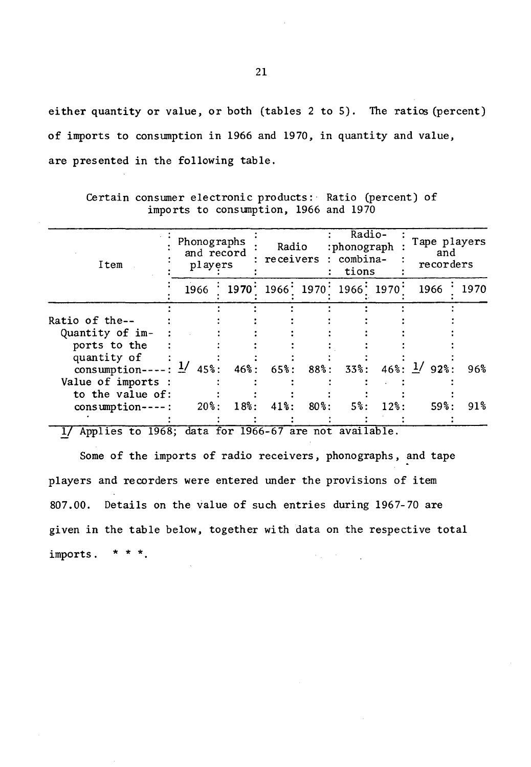either quantity or value, or both (tables 2 to 5). The ratios (percent) of imports to conswnption in 1966 and 1970, in quantity and value, are presented in the following table.

Phonographs : Radio- : Radio- Tape players<br>and record : receivers : combina and Item : and record : nadic : phonograph : and<br>players : combina- : recorders<br>i tions :  $1966 \div 1970 \div 1966 \div 1970 \div 1966 \div 1970$  $\ddot{\cdot}$  $\ddot{\cdot}$  $\ddot{\cdot}$  $\ddot{\cdot}$  $\ddot{\cdot}$  $\ddot{\cdot}$  $\ddot{\cdot}$ Ratio of the--  $\ddot{\cdot}$  $\ddot{\cdot}$ Quantity of im- $\ddot{\cdot}$  $\ddot{\cdot}$  $\ddot{\cdot}$ ports to the  $\ddot{\cdot}$ quantity of consumption----:  $\frac{1}{45\%}$ : 46%: 65%: 88%: 33%: 46%:  $\frac{1}{92\%}$ : 96% Value of imports : to the value of:  $\ddot{\cdot}$  $\ddot{\cdot}$  $\ddot{\phantom{a}}$ consumption----: 20%: 18%: 41%: 80%: 5%: 12%: 59%: 91%

Certain consumer electronic products: Ratio (percent) of imports to consumption, 1966 and 1970

1/ Applies to 1968; data for 1966-67 are not available.

Some of the imports of radio receivers, phonographs, and tape players and recorders were entered under the provisions of item 807.00. Details on the value of such entries during 1967-70 are given in the table below, together with data on the respective total imports.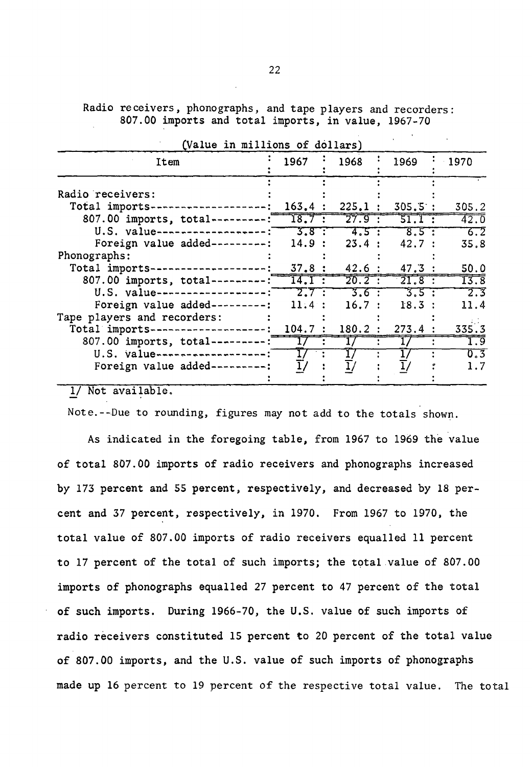Radio receivers, phonographs, and tape players and recorders: 807.00 imports and total imports, in value, 1967-70

| (Value in millions of dollars)                                                                                                                                                                                                                                                                                                                                                                                  |                                       |                                                               |                                                                                           |                                                                                           |
|-----------------------------------------------------------------------------------------------------------------------------------------------------------------------------------------------------------------------------------------------------------------------------------------------------------------------------------------------------------------------------------------------------------------|---------------------------------------|---------------------------------------------------------------|-------------------------------------------------------------------------------------------|-------------------------------------------------------------------------------------------|
| Item                                                                                                                                                                                                                                                                                                                                                                                                            | 1967                                  | 1968                                                          | 1969                                                                                      | $\cdot$ 1970                                                                              |
| Radio receivers:<br>$\cdots$ ---------: 163.4 :<br>Total imports-<br>807.00 imports, total---------: 18.7:<br>Foreign value added---------:<br>Phonographs:<br>Total imports--------<br>807.00 imports, total---------: 14.1 :<br>U.S. value-------------------:<br>Foreign value added ---------:<br>Tape players and recorders:<br>$\frac{104.7}{104.7}$<br>Total imports-<br>807.00 imports, total---------: | 14.9:<br>37.8:<br>2.7:<br>11.4:<br>17 | 225.1:<br>27.9:<br>23.4:<br>42.6:<br>20.2:<br>16.7:<br>180.2: | $305.5$ :<br>31.I :<br>8.5:<br>42.7:<br>47.3:<br>$-21.8$ :<br>3.6:3.5:<br>18.3:<br>273.4: | 305.2<br>42.0<br>$\overline{6.2}$<br>35.8<br>50.0<br>13.8<br>-2.3<br>11.4<br>335.3<br>1.9 |
| $U.S.$ value-------------------:<br>Foreign value added ---------:                                                                                                                                                                                                                                                                                                                                              | $\overline{1}$                        |                                                               |                                                                                           | 0.3<br>1.7                                                                                |

(Value in millions of dollars)

## 1/ Not available.

Note. --Due to rounding, figures may not add to the totals shown.

As indicated in the foregoing table, from 1967 to 1969 the value of total 807.00 imports of radio receivers and phonographs increased by 173 percent and 55 percent, respectively, and decreased by 18 percent and 37 percent, respectively, in 1970. From 1967 to 1970, the total value of 807.00 imports of radio receivers equalled 11 percent to 17 percent of the total of such imports; the total value of 807.00 imports of phonographs equalled 27 percent to 47 percent of the total of such imports. During 1966-70, the U.S. value of such imports of radio receivers constituted 15 percent to 20 percent of the total value of 807.00 imports, and the U.S. value of such imports of phonographs made up 16 percent to 19 percent of the respective total value. The total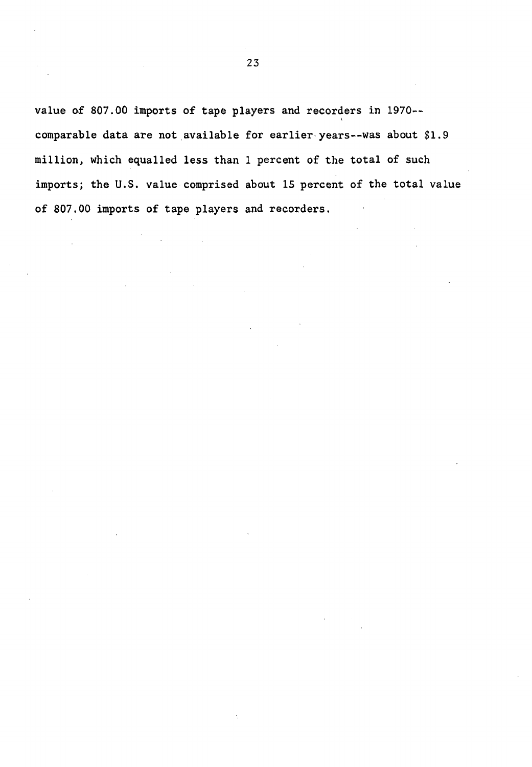value of 807.00 imports of tape players and recorders in 1970-comparable data are not available for earlier years--was about \$1.9 million, which equalled less than 1 percent of the total of such imports; the U.S. value comprised about 15 percent of the total value of 807.00 imports of tape players and recorders.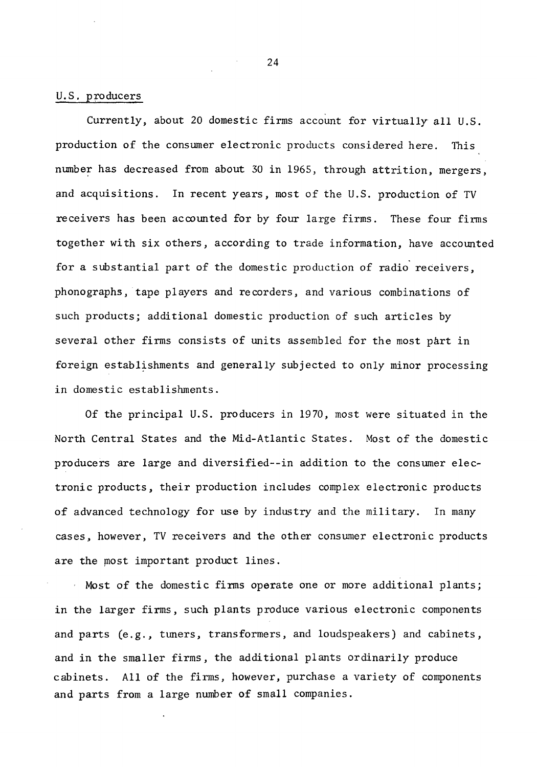#### U.S. producers

Currently, about 20 domestic firms account for virtually all U.S. production of the consumer electronic products considered here. This number has decreased from about 30 in 1965, through attrition, mergers, and acquisitions. In recent years, most of the U.S. production of TV receivers has been accounted for by four large firms. These four firms together with six others, according to trade information, have accounted for a substantial part of the domestic production of radio receivers, phonographs, tape players and recorders, and various combinations of such products; additional domestic production of such articles by several other firms consists of units assembled for the most part in foreign establishments and generally subjected to only minor processing in domestic establishments.

Of the principal U.S. producers in 1970, most were situated in the North Central States and the Mid-Atlantic States. Most of the domestic producers are large and diversified--in addition to the consumer electronic products, their production includes complex electronic products of advanced technology for use by industry and the military. In many cases, however, TV receivers and the other consumer electronic products are the most important product lines.

· Most of the domestic firms operate one or more additional plants; in the larger firms, such plants produce various electronic components and parts (e.g., tuners, transformers, and loudspeakers) and cabinets, and in the smaller firms, the additional plants ordinarily produce cabinets. All of the firms, however, purchase a variety of components and parts from a large number of small companies.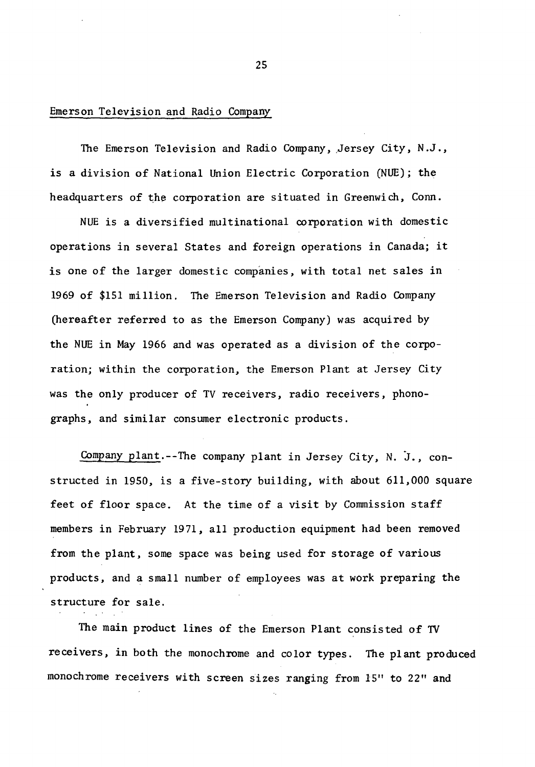# Emerson Television and Radio Company

The Emerson Television and Radio Company, Jersey City, N.J., is a division of National Union Electric Corporation (NUE); the headquarters of the corporation are situated in Greenwich, Conn.

NUE is a diversified multinational corporation with domestic operations in several States and foreign operations in Canada; it is one of the larger domestic companies, with total net sales in 1969 of \$151 million. The Emerson Television and Radio Company (hereafter referred to as the Emerson Company) was acquired by the NUE in May 1966 and was operated as a division of the corporation; within the corporation, the Emerson Plant at Jersey City was the only producer of TV receivers, radio receivers, phonographs, and similar consumer electronic products.

Company plant.--The company plant in Jersey City, N. J., constructed in 1950, is a five-story building, with about 611,000 square feet of floor space. At the time of a visit by Commission staff members in February 1971, all production equipment had been removed from the plant, some space was being used for storage of various products, and a small number of employees was at work preparing the structure for sale.

The main product lines of the Emerson Plant consisted of TV receivers, in both the monochrome and color types. The plant produced monochrome receivers with screen sizes ranging from 15" to 22" and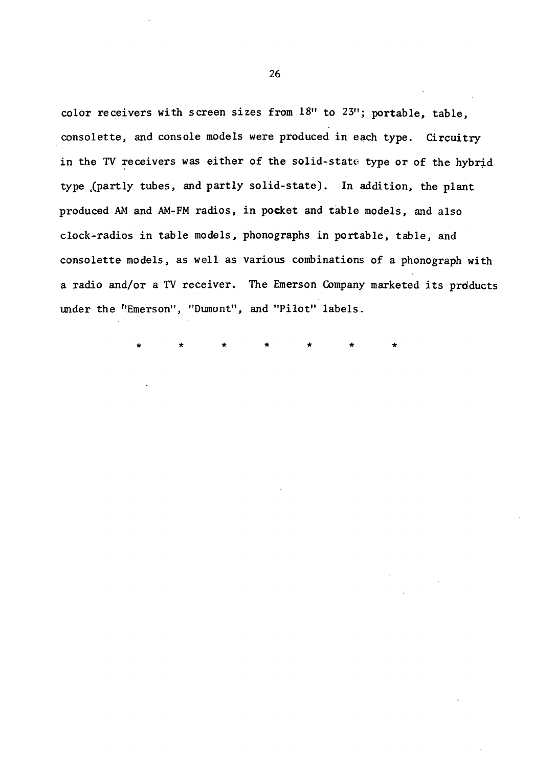color receivers with screen sizes from  $18$ <sup>"</sup> to  $23$ "; portable, table, consolette, and console models were produced in each type. Circuitry in the TV receivers was either of the solid-state type or of the hybrid type ,(partly tubes, and partly solid-state). In addition, the plant produced AM and AM-FM radios, in pocket and table models, and also clock-radios in table models, phonographs in portable, table, and consolette models, as well as various combinations of a phonograph with a radio and/or a TV receiver. The Emerson Company marketed its products under the "Emerson", "Dumont", and "Pilot" labels.

\* \* \* \* \* \* \*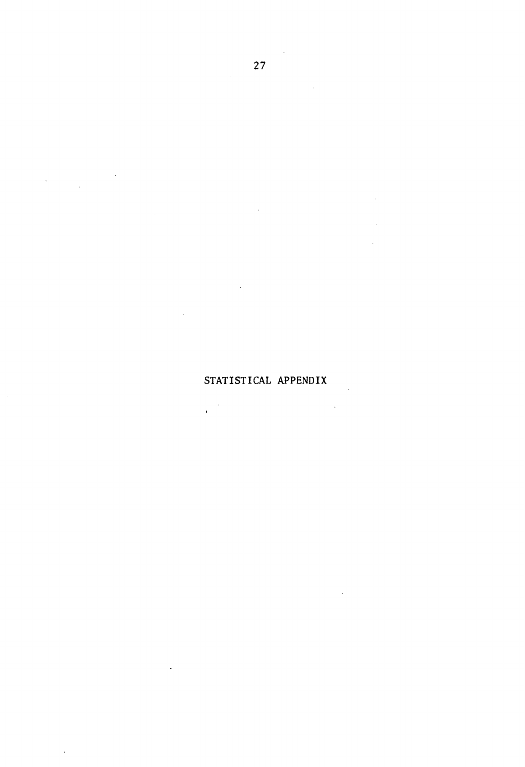$\bar{\mathcal{A}}$ 

 $\hat{\mathcal{A}}$ 

 $\label{eq:2.1} \frac{1}{\sqrt{2\pi}}\int_{\mathbb{R}^3}\frac{d\mu}{\sqrt{2\pi}}\left(\frac{d\mu}{\mu}\right)^2\frac{d\mu}{\mu}\frac{d\mu}{\nu}\frac{d\mu}{\nu} \, ,$ 

 $\ddot{\phantom{a}}$ 

 $\sim$ 

 $\sim$ 

 $\sim$ 

 $\hat{\mathcal{A}}$ 

 $\frac{1}{4}\left(\frac{1}{2}\right)^{2}=\frac{1}{2}\left(\frac{1}{2}\right)^{2}$  $\mathcal{L}^{\text{max}}_{\text{max}}$ 

 $\bar{z}$ 

 $\sim 10^{11}$  km  $^{-1}$ 

 $\bar{z}$ 

STATISTICAL APPENDIX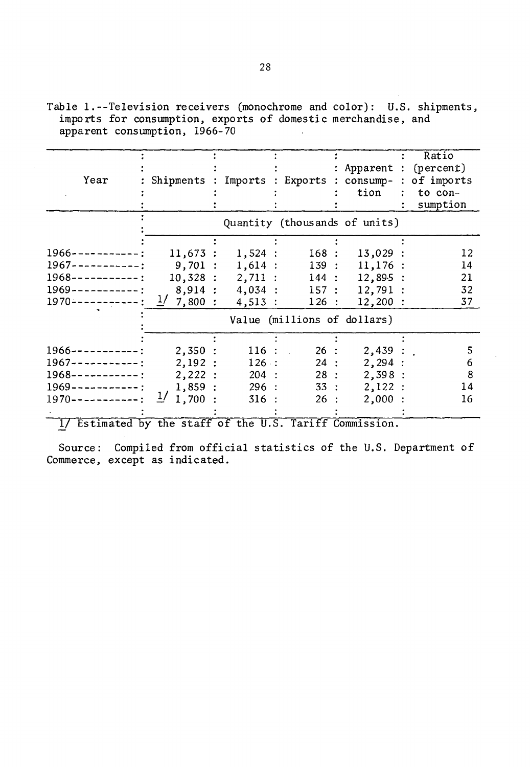Table 1.--Television receivers (monochrome and color): U.S. shipments, imports for consumption, exports of domestic merchandise, and apparent consumption, 1966-70

| Year                         | : Shipments : Imports : Exports |           |                               | : Apparent :<br>: consump-<br>tion | Ratio<br>$(\text{percent})$<br>of imports<br>to con-<br>sumption |
|------------------------------|---------------------------------|-----------|-------------------------------|------------------------------------|------------------------------------------------------------------|
|                              |                                 |           | Quantity (thousands of units) |                                    |                                                                  |
|                              |                                 |           |                               |                                    |                                                                  |
| $1966$ -----------:          | 11,673:                         | 1,524:    | 168:                          | 13,029                             | 12                                                               |
| $1967 - - - - - - - - -$ :   | 9,701:                          | $1,614$ : | 139:                          | 11,176:                            | 14                                                               |
| $1968 - - - - - - - - -$ :   | 10,328:                         | $2,711$ : | 144:                          | 12,895:                            | 21                                                               |
| $1969$ -----------:          | 8,914:                          | $4,034$ : | 157:                          | 12,791:                            | 32                                                               |
| $1970$ - - - - - - - - - - : | 7,800:                          | $4,513$ : | 126:                          | $12,200$ :                         | 37                                                               |
|                              |                                 |           | Value (millions of dollars)   |                                    |                                                                  |
|                              |                                 |           |                               |                                    |                                                                  |
| $1966---------:$             | 2,350:                          | 116:      | 26:                           | 2,439:                             | 5                                                                |
| $1967 - - - - - - - - -$ :   | 2,192:                          | 126:      | 24:                           | 2,294:                             | 6                                                                |
| $1968 - - - - - - - -$       | 2,222:                          | $204$ :   | 28:                           | 2,398:                             | 8                                                                |
| $1969$ -----------:          | 1,859:                          | 296:      | 33:                           | 2,122:                             | 14                                                               |
| $1970 - - - - - - - - -$ :   | 1,700:                          | 316:      | 26:                           | $2,000$ :                          | 16                                                               |
|                              |                                 |           |                               |                                    |                                                                  |

*lJ* Estimated by the staff of the U.S. Tariff Commission.

Source: Compiled from official statistics of the U.S. Department of Commerce, except as indicated.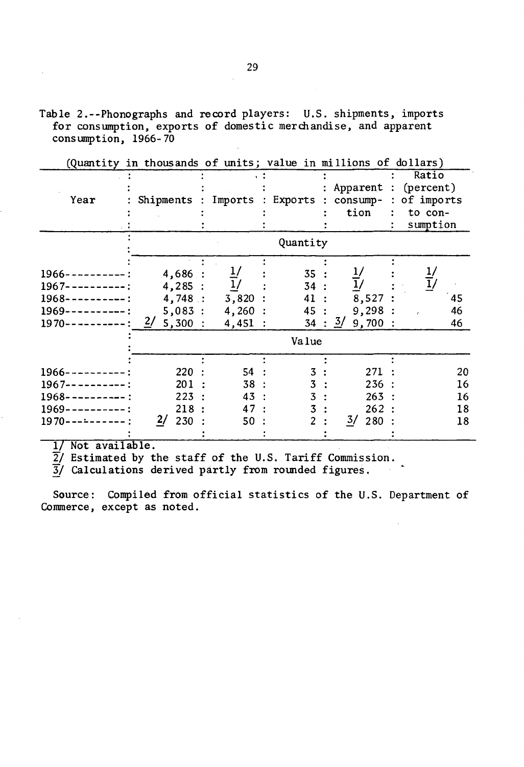Table 2.--Phonographs and record players: U.S. shipments, imports for consumption, exports of domestic merchandise, and apparent consumption,  $1966 - 70$ 

|                                                                                                                      | (Quantity in thousands of units; value in millions of dollars)    |                                     |                                                      |                                         |                                                                                                    |
|----------------------------------------------------------------------------------------------------------------------|-------------------------------------------------------------------|-------------------------------------|------------------------------------------------------|-----------------------------------------|----------------------------------------------------------------------------------------------------|
| Year                                                                                                                 |                                                                   |                                     |                                                      | : Apparent :<br>tion                    | Ratio<br>(percent)<br>Shipments : Imports : Exports : consump- : of imports<br>to con-<br>sumption |
|                                                                                                                      |                                                                   |                                     | Quantity                                             |                                         |                                                                                                    |
| $1966 - - - - - - -$ :<br>$1967$ ---------:<br>$1968$ ----------:<br>$1969--------$<br>$1970 - - - - - - - - -$      | 4,686:<br>4,285:<br>4,748:<br>5,083:<br>$\frac{2}{\pi}$<br>5,300: | 3,820:<br>$4,260$ :<br>4,451:       | 35 <sub>z</sub><br>34:<br>41:<br>45:<br><b>Value</b> | 8,527<br>9,298:<br>34 : 3/<br>9,700:    | 45<br>46<br>46                                                                                     |
| $1966 - - - - - - - - -$<br>$1967 - - - - - - - -$<br>$1968 - - - - - - - -$ :<br>$1969$ ----------:<br>$1970------$ | 220<br>201<br>223:<br>218:<br>$\frac{2}{ }$<br>230                | 54:<br>38 :<br>43 :<br>47 :<br>50 - | 3<br>3.<br>3<br>$\mathbf{3}$<br>$\overline{2}$       | 271<br>236<br>263:<br>262:<br>3/<br>280 | 20<br>16<br>16<br>18<br>18                                                                         |

1/ Not available.

 $\frac{2}{3}$ / Estimated by the staff of the U.S. Tariff Commission.<br> $\frac{1}{3}$ / Calculations derived partly from rounded figures.

Source: Compiled from official statistics of the U.S. Department of Commerce, except as noted.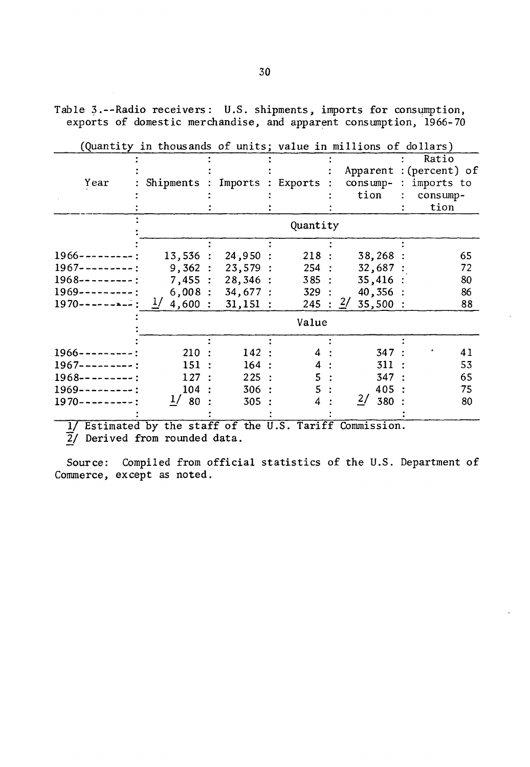Table 3.--Radio receivers: U.S. shipments, imports for consumption, exports of domestic merchandise, and apparent consumption, 1966-70

|                          | (Quantity in thousands of diffes, value in millions of dollars) |         |          |                        |                |                         |
|--------------------------|-----------------------------------------------------------------|---------|----------|------------------------|----------------|-------------------------|
|                          |                                                                 |         |          |                        |                | Ratio                   |
|                          |                                                                 |         |          |                        |                | Apparent : (percent) of |
| Year                     | Shipments                                                       | Imports | Exports  | consump-               | $\ddot{\cdot}$ | imports to              |
|                          |                                                                 |         |          | tion                   |                | consump-                |
|                          |                                                                 |         |          |                        |                | tion                    |
|                          |                                                                 |         | Quantity |                        |                |                         |
|                          |                                                                 |         |          |                        |                |                         |
| $1966 - - - - - - -$ :   | 13,536:                                                         | 24,950: | 218:     | 38,268 :               |                | 65                      |
| $1967 - - - - - - -$ :   | 9,362:                                                          | 23,579: | 254:     | 32,687 :               |                | 72                      |
| $1968-------$ :          | 7,455:                                                          | 28,346: | 385      | $35,416$ :             |                | 80                      |
| $1969$ ---------:        | 6,008:                                                          | 34,677: | 329      | 40,356 :               |                | 86                      |
| $1970------$             | 4,600:                                                          | 31,151: | 245      | $\cdot$ 2/<br>35,500 : |                | 88                      |
|                          |                                                                 |         | Value    |                        |                |                         |
|                          |                                                                 |         |          |                        |                |                         |
| $1966 - - - - - - -$ :   | 210                                                             | 142     | 4        | 347:                   |                | 41                      |
| $1967$ ---------:        | 151                                                             | 164:    | 4        | 311:                   |                | 53                      |
| $1968 - - - - - - -$ :   | 127                                                             | 225     | 5        | 347:                   |                | 65                      |
| $1969$ ---------:        | 104                                                             | 306:    | 5        | 405                    |                | 75                      |
| $1970 - - - - - - - - -$ | 1/<br>80                                                        | 305     | 4        | $\frac{2}{ }$<br>380   |                | 80                      |
|                          |                                                                 |         |          |                        |                |                         |

(Quantity in thousands of units; value in millions of dollars)

1/ Estimated by the staff of the U.S. Tariff Commission.

 $\overline{2}$ / Derived from rounded data.

Source: Compiled from official statistics of the U.S. Department of Commerce, except as noted.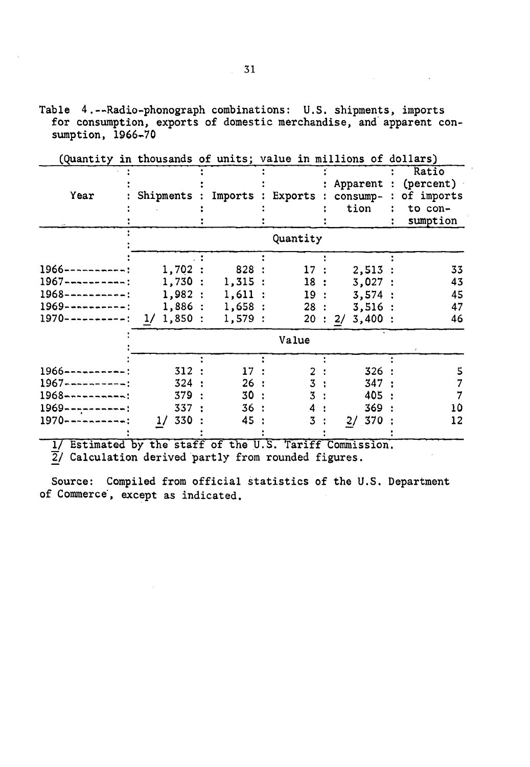Table 4.--Radio-phonograph combinations: U.S. shipments, imports for consumption, exports of domestic merchandise, and apparent consumption, 1966-70

|                        | (Qualitity in thousands of diffes, value in millions of dollars) |                 |              |               |                      |            |
|------------------------|------------------------------------------------------------------|-----------------|--------------|---------------|----------------------|------------|
|                        |                                                                  |                 |              |               |                      | Ratio      |
|                        |                                                                  |                 |              |               | Apparent             | (percent)  |
| Year                   | Shipments :                                                      | Imports :       | Exports      | $\mathcal{I}$ | consump-             | of imports |
|                        |                                                                  |                 |              |               | tion                 | to con-    |
|                        |                                                                  |                 |              |               |                      | sumption   |
|                        |                                                                  |                 |              |               |                      |            |
|                        |                                                                  |                 | Quantity     |               |                      |            |
|                        |                                                                  |                 |              |               |                      |            |
| $1966$ ----------:     | 1,702:                                                           | 828 :           | 17:          |               | 2,513:               | 33         |
| $1967$ ----------:     | 1,730:                                                           | 1,315:          | 18:          |               | 3,027:               | 43         |
| $1968 - - - - - - - -$ | 1,982:                                                           | 1,611:          | 19:          |               | 3,574:               | 45         |
| $1969$ -----------:    | 1,886:                                                           | 1,658:          | 28:          |               | 3,516:               | 47         |
| $1970 - - - - - - - -$ | 1,850:<br>1/                                                     | 1,579:          | 20:          |               | 3,400:<br>2/         | 46         |
|                        |                                                                  |                 | Value        |               |                      |            |
|                        |                                                                  |                 |              |               |                      |            |
|                        |                                                                  |                 |              |               |                      |            |
| $1966$ -----------:    | 312:                                                             | 17 <sub>1</sub> | $\mathbf{2}$ |               | 326 :                | 5          |
| $1967$ ----------:     | 324:                                                             | 26:             | $\mathbf{3}$ |               | 347                  |            |
| $1968$ ----------:     | 379                                                              | 30              | 3            |               | 405                  |            |
| $1969$ ----------;     | 337 :                                                            | 36 :            |              |               | 369                  | 10         |
| $1970 - - - - - - - -$ | 330                                                              | 45              | 3            |               | 370<br>$\frac{2}{ }$ | 12         |
|                        |                                                                  |                 |              |               |                      |            |

 $(0)$ uantity in thousands of units; value in millions of dollars)

1/ Estimated by the staff of the U.S. Tariff Commission.

2/ Calculation derived partly from rounded figures.

Source: Compiled from official statistics of the U.S. Department of Commerce, except as indicated.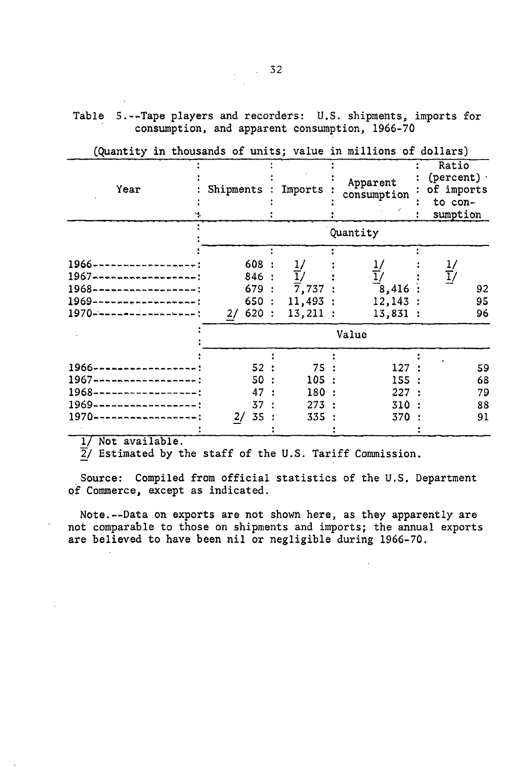Table 5.--Tape players and recorders: U.S. shipments, imports for consumption, and apparent consumption, 1966-70

| .<br>Year                | Shipments | Imports            | Apparent<br>consumption | Ratio<br>(percent) $\cdot$<br>of imports<br>to con-<br>sumption |
|--------------------------|-----------|--------------------|-------------------------|-----------------------------------------------------------------|
|                          |           |                    | Quantity                |                                                                 |
|                          |           |                    |                         |                                                                 |
| 1966------------------   | 608 :     | 1/                 |                         |                                                                 |
| 1967-------------------- | 846 :     | $\overline{1}$ /   |                         | $\frac{1}{1}$                                                   |
| 1968----------------     | 679:      | $\overline{7,}737$ | $\sqrt{8,416}$          | 92                                                              |
| 1969-------------------  | 650 :     | 11,493:            | 12,143:                 | 95                                                              |
| 1970-------------------  | 2/620:    | 13,211:            | 13,831 :                | 96                                                              |
|                          |           |                    | Value                   |                                                                 |
|                          |           |                    |                         |                                                                 |
| 1966---------------      | 52:       | 75                 | 127                     | 59                                                              |
| 1967-----------------    | 50:       | 105:               | 155 :                   | 68                                                              |
| 1968---------------      | 47 :      | 180:               | 227 :                   | 79                                                              |
| 1969---------------      | 37:       | 273:               | 310                     | 88                                                              |
| 1970------------------   | 35<br>2/  | 335                | 370                     | 91                                                              |
|                          |           |                    |                         |                                                                 |

(Quantity in thousands of units; value in millions of dollars)

1/ Not available.

 $\overline{2}$ / Estimated by the staff of the U.S. Tariff Commission.

. Source: Compiled from official statistics of the U.S. Department of Commerce, except as indicated.

Note.--Data on exports are not shown here, as they apparently are not comparable to those on shipments and imports; the annual exports are believed to have been nil or negligible during 1966-70.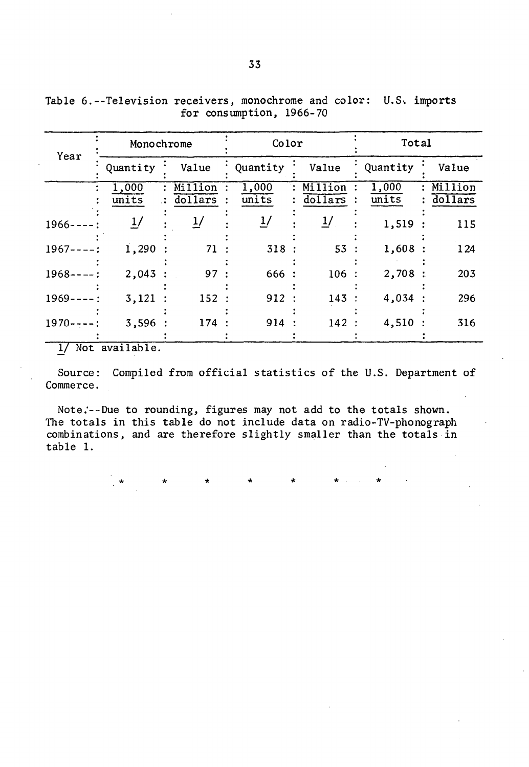|             | Monochrome     |                    |  | Color          |  |                    | Total          |                       |  |  |
|-------------|----------------|--------------------|--|----------------|--|--------------------|----------------|-----------------------|--|--|
| Year        | Quantity       | Value              |  | Quantity       |  | Value              | Quantity       | Value                 |  |  |
|             | 1,000<br>units | Million<br>dollars |  | 1,000<br>units |  | Million<br>dollars | 1,000<br>units | Million<br>dollars    |  |  |
| $1966---$   | 1/             | $\frac{1}{2}$      |  | $\frac{1}{2}$  |  | $\overline{11}$    | 1,519          | 115<br>$\ddot{\cdot}$ |  |  |
| $1967---$ : | 1,290          | 71                 |  | 318:           |  | 53 <sup>7</sup>    | 1,608          | 124                   |  |  |
| $1968---$ : | 2,043:         | 97                 |  | 666            |  | 106:               | 2,708          | 203                   |  |  |
| $1969---$ : | 3,121          | 152:               |  | 912:           |  | 143:               | 4,034          | 296                   |  |  |
| $1970---$ : | 3,596:         | 174:               |  | 914:           |  | 142:               | 4,510:         | 316                   |  |  |

Table 6.--Television receivers, monochrome and color: U.S. imports for consumption, 1966- 70

ot avail

Source: Compiled from official statistics of the U.S. Department of Commerce.

Note:--Due to rounding, figures may not add to the totals shown. The totals in this table do not include data on radio-TV-phonograph combinations, and are therefore slightly smaller than the totals in table 1.

\* \* \* \* \* \* \*